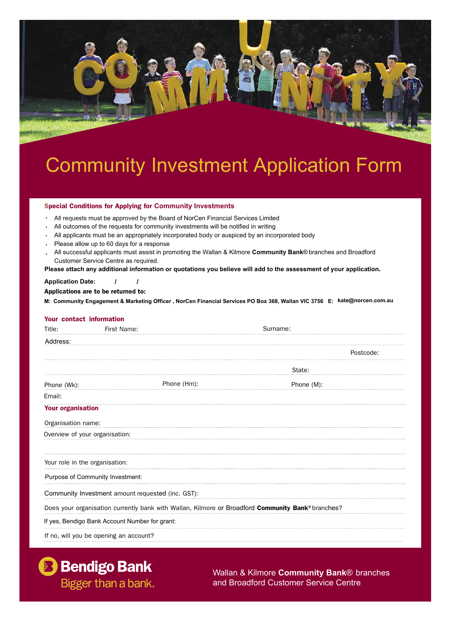

# Community Investment Application Form

# Special Conditions for Applying for **Community Investments**

- • All requests must be approved by the Board of NorCen Financial Services Limited
- • All outcomes of the requests for community investments will be notified in writing
- • All applicants must be an appropriately incorporated body or auspiced by an incorporated body
- • Please allow up to 60 days for a response
- • All successful applicants must assist in promoting the Wallan & Kilmore **Community Bank**® branches and Broadford Customer Service Centre as required.

**Please attach any additional information or quotations you believe will add to the assessment of your application**.

#### **Application Date:**  $\overline{I}$

# Applications are to be returned to:

M: Community Engagement & Marketing Officer, NorCen Financial Services PO Box 368, Wallan VIC 3756 E: kate@norcen.com.au

### Your contact information

| Title:                                 | First Name:                                                                                       | Surname:   |           |
|----------------------------------------|---------------------------------------------------------------------------------------------------|------------|-----------|
| Address:                               |                                                                                                   |            |           |
|                                        |                                                                                                   |            | Postcode: |
|                                        |                                                                                                   | State:     |           |
| Phone (Wk):                            | Phone (Hm):                                                                                       | Phone (M): |           |
| Email:                                 |                                                                                                   |            |           |
| <b>Your organisation</b>               |                                                                                                   |            |           |
| Organisation name:                     |                                                                                                   |            |           |
| Overview of your organisation:         |                                                                                                   |            |           |
|                                        |                                                                                                   |            |           |
| Your role in the organisation:         |                                                                                                   |            |           |
| Purpose of Community Investment:       |                                                                                                   |            |           |
|                                        | Community Investment amount requested (inc. GST):                                                 |            |           |
|                                        | Does your organisation currently bank with Wallan, Kilmore or Broadford Community Bank® branches? |            |           |
|                                        | If yes, Bendigo Bank Account Number for grant:                                                    |            |           |
| If no, will you be opening an account? |                                                                                                   |            |           |



Wallan & Kilmore **Community Bank**® branches and Broadford Customer Service Centre